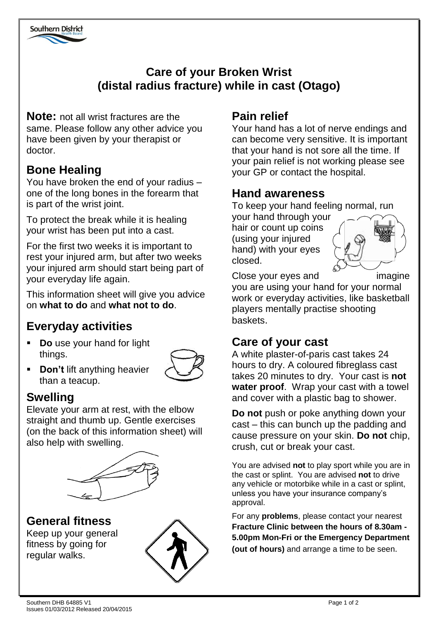

## **Care of your Broken Wrist (distal radius fracture) while in cast (Otago)**

**Note:** not all wrist fractures are the same. Please follow any other advice you have been given by your therapist or doctor.

## **Bone Healing**

You have broken the end of your radius – one of the long bones in the forearm that is part of the wrist joint.

To protect the break while it is healing your wrist has been put into a cast.

For the first two weeks it is important to rest your injured arm, but after two weeks your injured arm should start being part of your everyday life again.

This information sheet will give you advice on **what to do** and **what not to do**.

# **Everyday activities**

 **Do** use your hand for light things.



**-** Don't lift anything heavier than a teacup.

# **Swelling**

Elevate your arm at rest, with the elbow straight and thumb up. Gentle exercises (on the back of this information sheet) will also help with swelling.



#### **General fitness**

Keep up your general fitness by going for regular walks.



# **Pain relief**

Your hand has a lot of nerve endings and can become very sensitive. It is important that your hand is not sore all the time. If your pain relief is not working please see your GP or contact the hospital.

## **Hand awareness**

To keep your hand feeling normal, run

your hand through your hair or count up coins (using your injured hand) with your eyes closed.



Close your eyes and imagine

you are using your hand for your normal work or everyday activities, like basketball players mentally practise shooting baskets.

## **Care of your cast**

A white plaster-of-paris cast takes 24 hours to dry. A coloured fibreglass cast takes 20 minutes to dry. Your cast is **not water proof**. Wrap your cast with a towel and cover with a plastic bag to shower.

**Do not** push or poke anything down your cast – this can bunch up the padding and cause pressure on your skin. **Do not** chip, crush, cut or break your cast.

You are advised **not** to play sport while you are in the cast or splint. You are advised **not** to drive any vehicle or motorbike while in a cast or splint, unless you have your insurance company's approval.

For any **problems**, please contact your nearest **Fracture Clinic between the hours of 8.30am - 5.00pm Mon-Fri or the Emergency Department (out of hours)** and arrange a time to be seen.